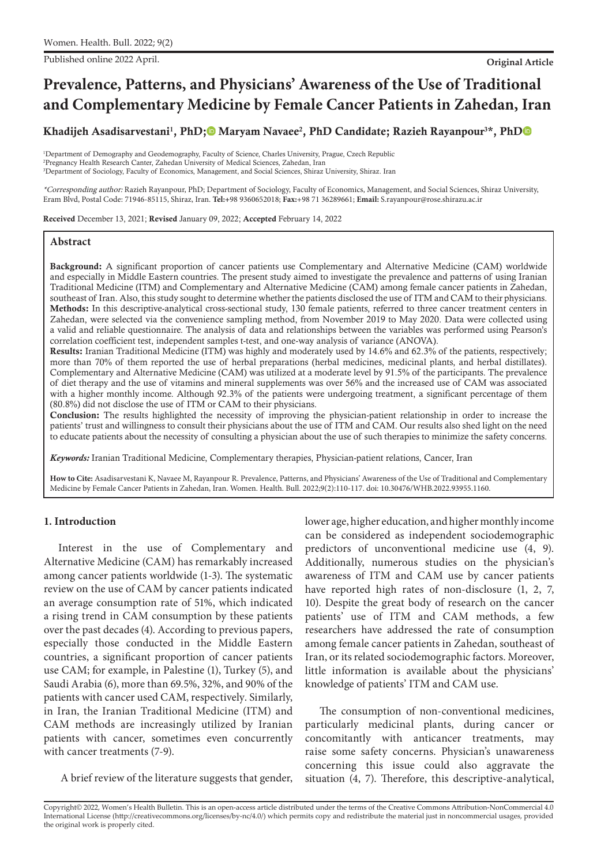Published online 2022 April. **Original Article**

# **Prevalence, Patterns, and Physicians' Awareness of the Use of Traditional and Complementary Medicine by Female Cancer Patients in Zahedan, Iran**

Khadijeh Asadisarvestani<sup>1</sup>, PhD;<sup>®</sup> Maryam Navaee<sup>2</sup>, PhD Candidate[;](https://orcid.org/0000-0002-7106-8286) Razieh Rayanpour<sup>3\*</sup>, Ph[D](https://orcid.org/0000-0002-7966-8286)

1 Department of Demography and Geodemography, Faculty of Science, Charles University, Prague, Czech Republic 2 Pregnancy Health Research Canter, Zahedan University of Medical Sciences, Zahedan, Iran 3 Department of Sociology, Faculty of Economics, Management, and Social Sciences, Shiraz University, Shiraz. Iran

\*Corresponding author: Razieh Rayanpour, PhD; Department of Sociology, Faculty of Economics, Management, and Social Sciences, Shiraz University, Eram Blvd, Postal Code: 71946-85115, Shiraz, Iran. **Tel:+**98 9360652018; **Fax:**+98 71 36289661; **Email:** S.rayanpour@rose.shirazu.ac.ir

Received December 13, 2021; Revised January 09, 2022; Accepted February 14, 2022

### **Abstract**

Background: A significant proportion of cancer patients use Complementary and Alternative Medicine (CAM) worldwide and especially in Middle Eastern countries. The present study aimed to investigate the prevalence and patterns of using Iranian Traditional Medicine (ITM) and Complementary and Alternative Medicine (CAM) among female cancer patients in Zahedan, southeast of Iran. Also, this study sought to determine whether the patients disclosed the use of ITM and CAM to their physicians. Methods: In this descriptive-analytical cross-sectional study, 130 female patients, referred to three cancer treatment centers in Zahedan, were selected via the convenience sampling method, from November 2019 to May 2020. Data were collected using a valid and reliable questionnaire. The analysis of data and relationships between the variables was performed using Pearson's correlation coefficient test, independent samples t-test, and one-way analysis of variance (ANOVA).

Results: Iranian Traditional Medicine (ITM) was highly and moderately used by 14.6% and 62.3% of the patients, respectively; more than 70% of them reported the use of herbal preparations (herbal medicines, medicinal plants, and herbal distillates). Complementary and Alternative Medicine (CAM) was utilized at a moderate level by 91.5% of the participants. The prevalence of diet therapy and the use of vitamins and mineral supplements was over 56% and the increased use of CAM was associated with a higher monthly income. Although 92.3% of the patients were undergoing treatment, a significant percentage of them (80.8%) did not disclose the use of ITM or CAM to their physicians.

Conclusion: The results highlighted the necessity of improving the physician-patient relationship in order to increase the patients' trust and willingness to consult their physicians about the use of ITM and CAM. Our results also shed light on the need to educate patients about the necessity of consulting a physician about the use of such therapies to minimize the safety concerns.

*Keywords:* Iranian Traditional Medicine, Complementary therapies, Physician-patient relations, Cancer, Iran

**How to Cite:** Asadisarvestani K, Navaee M, Rayanpour R. Prevalence, Patterns, and Physicians' Awareness of the Use of Traditional and Complementary Medicine by Female Cancer Patients in Zahedan, Iran. Women. Health. Bull. 2022;9(2):110-117. doi: 10.30476/WHB.2022.93955.1160.

# **1. Introduction**

Interest in the use of Complementary and Alternative Medicine (CAM) has remarkably increased among cancer patients worldwide (1-3). The systematic review on the use of CAM by cancer patients indicated an average consumption rate of 51%, which indicated a rising trend in CAM consumption by these patients over the past decades (4). According to previous papers, especially those conducted in the Middle Eastern countries, a significant proportion of cancer patients use CAM; for example, in Palestine (1), Turkey (5), and Saudi Arabia (6), more than 69.5%, 32%, and 90% of the patients with cancer used CAM, respectively. Similarly, in Iran, the Iranian Traditional Medicine (ITM) and CAM methods are increasingly utilized by Iranian patients with cancer, sometimes even concurrently with cancer treatments (7-9).

A brief review of the literature suggests that gender,

lower age, higher education, and higher monthly income can be considered as independent sociodemographic predictors of unconventional medicine use (4, 9). Additionally, numerous studies on the physician's awareness of ITM and CAM use by cancer patients have reported high rates of non-disclosure (1, 2, 7, 10). Despite the great body of research on the cancer patients' use of ITM and CAM methods, a few researchers have addressed the rate of consumption among female cancer patients in Zahedan, southeast of Iran, or its related sociodemographic factors. Moreover, little information is available about the physicians' knowledge of patients' ITM and CAM use.

The consumption of non-conventional medicines, particularly medicinal plants, during cancer or concomitantly with anticancer treatments, may raise some safety concerns. Physician's unawareness concerning this issue could also aggravate the situation (4, 7). Therefore, this descriptive-analytical,

Copyright© 2022, Women's Health Bulletin. This is an open-access article distributed under the terms of the Creative Commons Attribution-NonCommercial 4.0 International License (http://creativecommons.org/licenses/by-nc/4.0/) which permits copy and redistribute the material just in noncommercial usages, provided the original work is properly cited.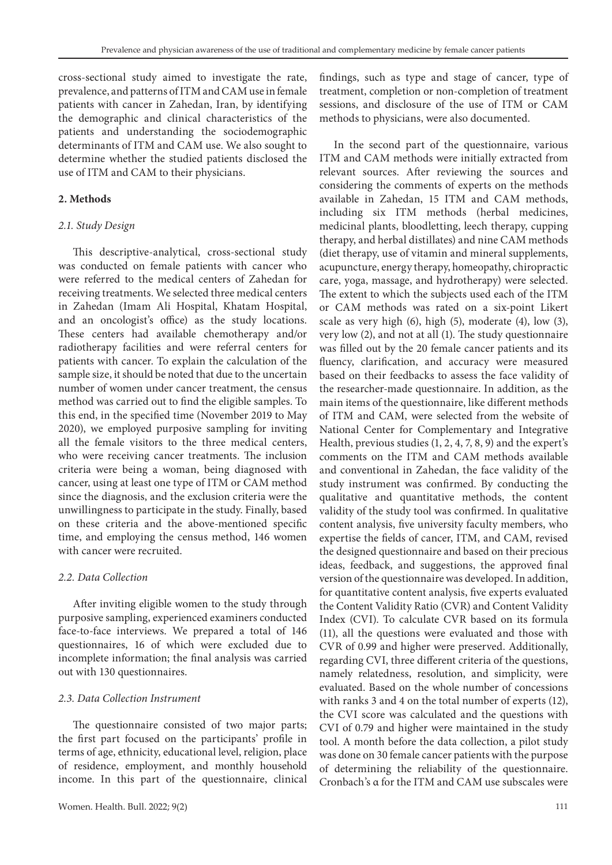cross-sectional study aimed to investigate the rate, prevalence, and patterns of ITM and CAM use in female patients with cancer in Zahedan, Iran, by identifying the demographic and clinical characteristics of the patients and understanding the sociodemographic determinants of ITM and CAM use. We also sought to determine whether the studied patients disclosed the use of ITM and CAM to their physicians.

## **2. Methods**

### *2.1. Study Design*

This descriptive-analytical, cross-sectional study was conducted on female patients with cancer who were referred to the medical centers of Zahedan for receiving treatments. We selected three medical centers in Zahedan (Imam Ali Hospital, Khatam Hospital, and an oncologist's office) as the study locations. These centers had available chemotherapy and/or radiotherapy facilities and were referral centers for patients with cancer. To explain the calculation of the sample size, it should be noted that due to the uncertain number of women under cancer treatment, the census method was carried out to find the eligible samples. To this end, in the specified time (November 2019 to May 2020), we employed purposive sampling for inviting all the female visitors to the three medical centers, who were receiving cancer treatments. The inclusion criteria were being a woman, being diagnosed with cancer, using at least one type of ITM or CAM method since the diagnosis, and the exclusion criteria were the unwillingness to participate in the study. Finally, based on these criteria and the above-mentioned specific time, and employing the census method, 146 women with cancer were recruited.

## *2.2. Data Collection*

After inviting eligible women to the study through purposive sampling, experienced examiners conducted face-to-face interviews. We prepared a total of 146 questionnaires, 16 of which were excluded due to incomplete information; the final analysis was carried out with 130 questionnaires.

## *2.3. Data Collection Instrument*

The questionnaire consisted of two major parts; the first part focused on the participants' profile in terms of age, ethnicity, educational level, religion, place of residence, employment, and monthly household income. In this part of the questionnaire, clinical

findings, such as type and stage of cancer, type of treatment, completion or non-completion of treatment sessions, and disclosure of the use of ITM or CAM methods to physicians, were also documented.

In the second part of the questionnaire, various ITM and CAM methods were initially extracted from relevant sources. After reviewing the sources and considering the comments of experts on the methods available in Zahedan, 15 ITM and CAM methods, including six ITM methods (herbal medicines, medicinal plants, bloodletting, leech therapy, cupping therapy, and herbal distillates) and nine CAM methods (diet therapy, use of vitamin and mineral supplements, acupuncture, energy therapy, homeopathy, chiropractic care, yoga, massage, and hydrotherapy) were selected. The extent to which the subjects used each of the ITM or CAM methods was rated on a six-point Likert scale as very high (6), high (5), moderate (4), low (3), very low (2), and not at all (1). The study questionnaire was filled out by the 20 female cancer patients and its fluency, clarification, and accuracy were measured based on their feedbacks to assess the face validity of the researcher-made questionnaire. In addition, as the main items of the questionnaire, like different methods of ITM and CAM, were selected from the website of National Center for Complementary and Integrative Health, previous studies (1, 2, 4, 7, 8, 9) and the expert's comments on the ITM and CAM methods available and conventional in Zahedan, the face validity of the study instrument was confirmed. By conducting the qualitative and quantitative methods, the content validity of the study tool was confirmed. In qualitative content analysis, five university faculty members, who expertise the fields of cancer, ITM, and CAM, revised the designed questionnaire and based on their precious ideas, feedback, and suggestions, the approved final version of the questionnaire was developed. In addition, for quantitative content analysis, five experts evaluated the Content Validity Ratio (CVR) and Content Validity Index (CVI). To calculate CVR based on its formula (11), all the questions were evaluated and those with CVR of 0.99 and higher were preserved. Additionally, regarding CVI, three different criteria of the questions, namely relatedness, resolution, and simplicity, were evaluated. Based on the whole number of concessions with ranks 3 and 4 on the total number of experts (12), the CVI score was calculated and the questions with CVI of 0.79 and higher were maintained in the study tool. A month before the data collection, a pilot study was done on 30 female cancer patients with the purpose of determining the reliability of the questionnaire. Cronbach's α for the ITM and CAM use subscales were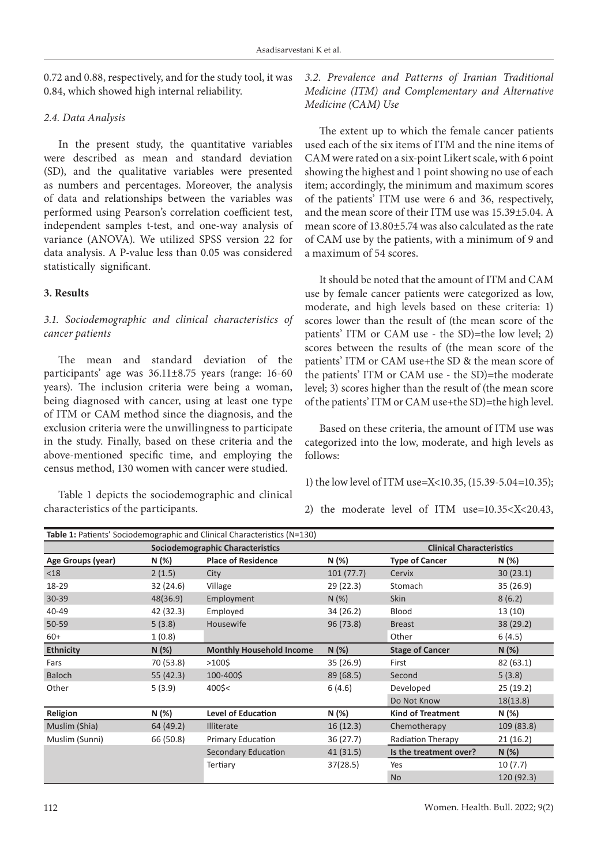0.72 and 0.88, respectively, and for the study tool, it was 0.84, which showed high internal reliability.

## *2.4. Data Analysis*

In the present study, the quantitative variables were described as mean and standard deviation (SD), and the qualitative variables were presented as numbers and percentages. Moreover, the analysis of data and relationships between the variables was performed using Pearson's correlation coefficient test, independent samples t-test, and one-way analysis of variance (ANOVA). We utilized SPSS version 22 for data analysis. A P-value less than 0.05 was considered statistically significant.

## **3. Results**

# *3.1. Sociodemographic and clinical characteristics of cancer patients*

The mean and standard deviation of the participants' age was 36.11±8.75 years (range: 16-60 years). The inclusion criteria were being a woman, being diagnosed with cancer, using at least one type of ITM or CAM method since the diagnosis, and the exclusion criteria were the unwillingness to participate in the study. Finally, based on these criteria and the above-mentioned specific time, and employing the census method, 130 women with cancer were studied.

Table 1 depicts the sociodemographic and clinical characteristics of the participants.

*3.2. Prevalence and Patterns of Iranian Traditional Medicine (ITM) and Complementary and Alternative Medicine (CAM) Use*

The extent up to which the female cancer patients used each of the six items of ITM and the nine items of CAM were rated on a six-point Likert scale, with 6 point showing the highest and 1 point showing no use of each item; accordingly, the minimum and maximum scores of the patients' ITM use were 6 and 36, respectively, and the mean score of their ITM use was 15.39±5.04. A mean score of 13.80±5.74 was also calculated as the rate of CAM use by the patients, with a minimum of 9 and a maximum of 54 scores.

It should be noted that the amount of ITM and CAM use by female cancer patients were categorized as low, moderate, and high levels based on these criteria: 1) scores lower than the result of (the mean score of the patients' ITM or CAM use - the SD)=the low level; 2) scores between the results of (the mean score of the patients' ITM or CAM use+the SD & the mean score of the patients' ITM or CAM use - the SD)=the moderate level; 3) scores higher than the result of (the mean score of the patients' ITM or CAM use+the SD)=the high level.

Based on these criteria, the amount of ITM use was categorized into the low, moderate, and high levels as follows:

1) the low level of ITM use=X<10.35, (15.39-5.04=10.35);

2) the moderate level of ITM use=10.35<X<20.43,

| <b>Table 1: Patients' Sociodemographic and Clinical Characteristics (N=130)</b> |           |                                                           |                                 |                          |            |  |  |  |  |
|---------------------------------------------------------------------------------|-----------|-----------------------------------------------------------|---------------------------------|--------------------------|------------|--|--|--|--|
|                                                                                 |           | <b>Sociodemographic Characteristics</b>                   | <b>Clinical Characteristics</b> |                          |            |  |  |  |  |
| Age Groups (year)                                                               | N (%)     | <b>Place of Residence</b>                                 | N (%)                           | <b>Type of Cancer</b>    | N (%)      |  |  |  |  |
| $18$                                                                            | 2(1.5)    | 101(77.7)<br>City                                         |                                 | Cervix                   | 30(23.1)   |  |  |  |  |
| 18-29                                                                           | 32 (24.6) | Village                                                   | 29(22.3)                        | Stomach                  | 35(26.9)   |  |  |  |  |
| 30-39                                                                           | 48(36.9)  | Employment                                                | N(%)                            | <b>Skin</b>              | 8(6.2)     |  |  |  |  |
| 40-49                                                                           | 42 (32.3) | Employed                                                  | 34 (26.2)                       | Blood                    | 13 (10)    |  |  |  |  |
| 50-59                                                                           | 5(3.8)    | Housewife<br>96(73.8)                                     |                                 | <b>Breast</b>            | 38 (29.2)  |  |  |  |  |
| $60+$                                                                           | 1(0.8)    |                                                           |                                 | Other                    | 6(4.5)     |  |  |  |  |
| <b>Ethnicity</b>                                                                | N (%)     | <b>Monthly Household Income</b>                           | N(%)                            | <b>Stage of Cancer</b>   | N(%)       |  |  |  |  |
| Fars                                                                            | 70 (53.8) | $>100$ \$                                                 | 35(26.9)                        | First                    | 82(63.1)   |  |  |  |  |
| <b>Baloch</b>                                                                   | 55 (42.3) | 100-400\$                                                 | 89 (68.5)                       | Second                   | 5(3.8)     |  |  |  |  |
| Other                                                                           | 5(3.9)    | 400\$<                                                    | 6(4.6)                          | Developed                | 25(19.2)   |  |  |  |  |
|                                                                                 |           |                                                           |                                 | Do Not Know              | 18(13.8)   |  |  |  |  |
| Religion<br>N (%)                                                               |           | <b>Level of Education</b>                                 | N (%)                           | <b>Kind of Treatment</b> | N (%)      |  |  |  |  |
| Muslim (Shia)                                                                   | 64 (49.2) | <b>Illiterate</b>                                         | 16(12.3)                        | Chemotherapy             | 109 (83.8) |  |  |  |  |
| Muslim (Sunni)<br>66 (50.8)                                                     |           | 36(27.7)<br>Primary Education<br><b>Radiation Therapy</b> |                                 |                          | 21(16.2)   |  |  |  |  |
|                                                                                 |           | Secondary Education                                       | 41(31.5)                        | Is the treatment over?   | N(%)       |  |  |  |  |
|                                                                                 |           | Tertiary                                                  | 37(28.5)                        | Yes                      | 10(7.7)    |  |  |  |  |
|                                                                                 |           |                                                           |                                 | <b>No</b>                | 120 (92.3) |  |  |  |  |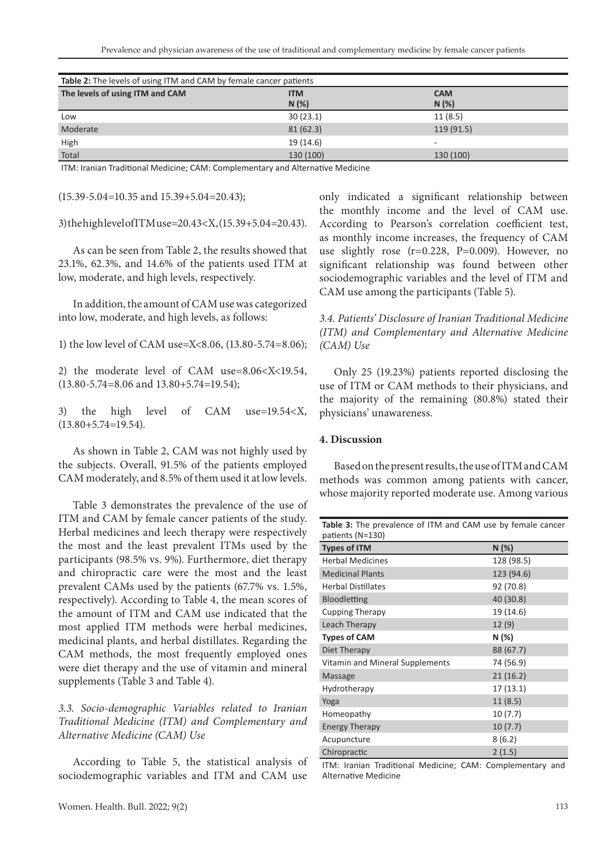| Table 2: The levels of using ITM and CAM by female cancer patients |            |            |  |  |  |  |
|--------------------------------------------------------------------|------------|------------|--|--|--|--|
| The levels of using ITM and CAM                                    | <b>ITM</b> | <b>CAM</b> |  |  |  |  |
|                                                                    | N(%)       | N(%)       |  |  |  |  |
| Low                                                                | 30(23.1)   | 11(8.5)    |  |  |  |  |
| Moderate                                                           | 81(62.3)   | 119(91.5)  |  |  |  |  |
| High                                                               | 19 (14.6)  | -          |  |  |  |  |
| Total                                                              | 130 (100)  | 130 (100)  |  |  |  |  |

ITM: Iranian Traditional Medicine; CAM: Complementary and Alternative Medicine

(15.39-5.04=10.35 and 15.39+5.04=20.43);

3) the high level of ITM use=20.43<X, (15.39+5.04=20.43).

As can be seen from Table 2, the results showed that 23.1%, 62.3%, and 14.6% of the patients used ITM at low, moderate, and high levels, respectively.

In addition, the amount of CAM use was categorized into low, moderate, and high levels, as follows:

1) the low level of CAM use=X<8.06, (13.80-5.74=8.06);

2) the moderate level of CAM use=8.06<X<19.54, (13.80-5.74=8.06 and 13.80+5.74=19.54);

3) the high level of CAM use=19.54<X,  $(13.80+5.74=19.54).$ 

As shown in Table 2, CAM was not highly used by the subjects. Overall, 91.5% of the patients employed CAM moderately, and 8.5% of them used it at low levels.

Table 3 demonstrates the prevalence of the use of ITM and CAM by female cancer patients of the study. Herbal medicines and leech therapy were respectively the most and the least prevalent ITMs used by the participants (98.5% vs. 9%). Furthermore, diet therapy and chiropractic care were the most and the least prevalent CAMs used by the patients (67.7% vs. 1.5%, respectively). According to Table 4, the mean scores of the amount of ITM and CAM use indicated that the most applied ITM methods were herbal medicines, medicinal plants, and herbal distillates. Regarding the CAM methods, the most frequently employed ones were diet therapy and the use of vitamin and mineral supplements (Table 3 and Table 4).

*3.3. Socio-demographic Variables related to Iranian Traditional Medicine (ITM) and Complementary and Alternative Medicine (CAM) Use*

According to Table 5, the statistical analysis of sociodemographic variables and ITM and CAM use only indicated a significant relationship between the monthly income and the level of CAM use. According to Pearson's correlation coefficient test, as monthly income increases, the frequency of CAM use slightly rose (r=0.228, P=0.009). However, no significant relationship was found between other sociodemographic variables and the level of ITM and CAM use among the participants (Table 5).

*3.4. Patients' Disclosure of Iranian Traditional Medicine (ITM) and Complementary and Alternative Medicine (CAM) Use*

Only 25 (19.23%) patients reported disclosing the use of ITM or CAM methods to their physicians, and the majority of the remaining (80.8%) stated their physicians' unawareness.

#### **4. Discussion**

Based on the present results, the use of ITM and CAM methods was common among patients with cancer, whose majority reported moderate use. Among various

**Table 3:** The prevalence of ITM and CAM use by female cancer patients (N=130) **Types of ITM N (%)** Herbal Medicines 128 (98.5) Medicinal Plants 123 (94.6) Herbal Distillates 92 (70.8) Bloodletting 40 (30.8) Cupping Therapy 19 (14.6) Leach Therapy 12 (9) **Types of CAM N (%)** Diet Therapy 88 (67.7) Vitamin and Mineral Supplements 74 (56.9) Massage 21 (16.2) Hydrotherapy 17 (13.1) Yoga 11 (8.5) Homeopathy 10 (7.7) Energy Therapy 10 (7.7) Acupuncture 8 (6.2) Chiropractic 2 (1.5)

ITM: Iranian Traditional Medicine; CAM: Complementary and Alternative Medicine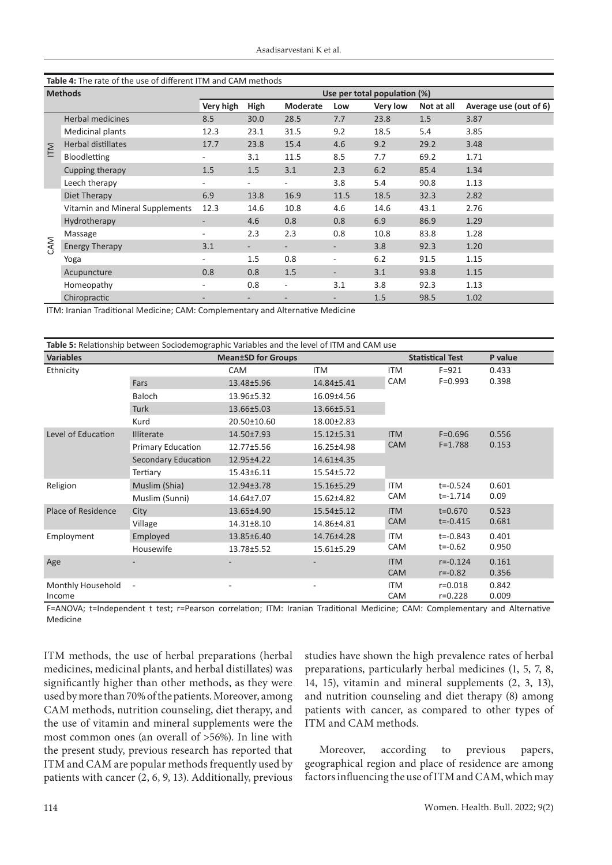| Table 4: The rate of the use of different ITM and CAM methods |                                 |                              |                          |                          |                          |          |            |                        |
|---------------------------------------------------------------|---------------------------------|------------------------------|--------------------------|--------------------------|--------------------------|----------|------------|------------------------|
| <b>Methods</b>                                                |                                 | Use per total population (%) |                          |                          |                          |          |            |                        |
|                                                               |                                 | Very high                    | High                     | <b>Moderate</b>          | Low                      | Very low | Not at all | Average use (out of 6) |
| ITM                                                           | <b>Herbal medicines</b>         | 8.5                          | 30.0                     | 28.5                     | 7.7                      | 23.8     | 1.5        | 3.87                   |
|                                                               | Medicinal plants                | 12.3                         | 23.1                     | 31.5                     | 9.2                      | 18.5     | 5.4        | 3.85                   |
|                                                               | <b>Herbal distillates</b>       | 17.7                         | 23.8                     | 15.4                     | 4.6                      | 9.2      | 29.2       | 3.48                   |
|                                                               | Bloodletting                    |                              | 3.1                      | 11.5                     | 8.5                      | 7.7      | 69.2       | 1.71                   |
|                                                               | Cupping therapy                 | 1.5                          | 1.5                      | 3.1                      | 2.3                      | 6.2      | 85.4       | 1.34                   |
|                                                               | Leech therapy                   |                              | ٠.                       | $\overline{\phantom{0}}$ | 3.8                      | 5.4      | 90.8       | 1.13                   |
| CAM                                                           | Diet Therapy                    | 6.9                          | 13.8                     | 16.9                     | 11.5                     | 18.5     | 32.3       | 2.82                   |
|                                                               | Vitamin and Mineral Supplements | 12.3                         | 14.6                     | 10.8                     | 4.6                      | 14.6     | 43.1       | 2.76                   |
|                                                               | Hydrotherapy                    | ٠                            | 4.6                      | 0.8                      | 0.8                      | 6.9      | 86.9       | 1.29                   |
|                                                               | Massage                         | ٠                            | 2.3                      | 2.3                      | 0.8                      | 10.8     | 83.8       | 1.28                   |
|                                                               | <b>Energy Therapy</b>           | 3.1                          | $\overline{\phantom{0}}$ | $\overline{\phantom{0}}$ | $\overline{\phantom{a}}$ | 3.8      | 92.3       | 1.20                   |
|                                                               | Yoga                            |                              | 1.5                      | 0.8                      | ٠                        | 6.2      | 91.5       | 1.15                   |
|                                                               | Acupuncture                     | 0.8                          | 0.8                      | 1.5                      |                          | 3.1      | 93.8       | 1.15                   |
|                                                               | Homeopathy                      | ٠                            | 0.8                      | $\overline{\phantom{0}}$ | 3.1                      | 3.8      | 92.3       | 1.13                   |
|                                                               | Chiropractic                    |                              |                          |                          |                          | 1.5      | 98.5       | 1.02                   |

ITM: Iranian Traditional Medicine; CAM: Complementary and Alternative Medicine

| Table 5: Relationship between Sociodemographic Variables and the level of ITM and CAM use |                          |                           |                         |                          |                              |                |  |  |
|-------------------------------------------------------------------------------------------|--------------------------|---------------------------|-------------------------|--------------------------|------------------------------|----------------|--|--|
| <b>Variables</b>                                                                          |                          | <b>Mean±SD for Groups</b> | <b>Statistical Test</b> |                          | P value                      |                |  |  |
| Ethnicity                                                                                 |                          | <b>CAM</b>                | <b>ITM</b>              | <b>ITM</b>               | $F = 921$                    | 0.433          |  |  |
|                                                                                           | Fars                     | 13.48±5.96                | 14.84±5.41              | CAM                      | $F = 0.993$                  | 0.398          |  |  |
|                                                                                           | <b>Baloch</b>            | 13.96±5.32                | 16.09±4.56              |                          |                              |                |  |  |
|                                                                                           | <b>Turk</b>              | 13.66±5.03                | 13.66±5.51              |                          |                              |                |  |  |
|                                                                                           | Kurd                     | 20.50±10.60               | 18.00±2.83              |                          |                              |                |  |  |
| Level of Education                                                                        | <b>Illiterate</b>        | 14.50±7.93                | 15.12±5.31              | <b>ITM</b><br><b>CAM</b> | $F = 0.696$<br>$F = 1.788$   | 0.556<br>0.153 |  |  |
|                                                                                           | <b>Primary Education</b> | 12.77±5.56                | 16.25±4.98              |                          |                              |                |  |  |
|                                                                                           | Secondary Education      | 12.95±4.22                | 14.61±4.35              |                          |                              |                |  |  |
|                                                                                           | Tertiary                 | 15.43±6.11                | 15.54±5.72              |                          |                              |                |  |  |
| Religion                                                                                  | Muslim (Shia)            | 12.94±3.78                | 15.16±5.29              | <b>ITM</b>               | $t = -0.524$<br>$t = -1.714$ | 0.601<br>0.09  |  |  |
|                                                                                           | Muslim (Sunni)           | 14.64±7.07                | 15.62±4.82              | CAM                      |                              |                |  |  |
| Place of Residence                                                                        | City                     | 13.65±4.90                | 15.54±5.12              | <b>ITM</b>               | $t = 0.670$<br>$t = -0.415$  | 0.523<br>0.681 |  |  |
|                                                                                           | Village                  | 14.31±8.10                | 14.86±4.81              | <b>CAM</b>               |                              |                |  |  |
| Employment                                                                                | Employed                 | 13.85±6.40                | 14.76±4.28              | <b>ITM</b>               | $t = -0.843$<br>$t = -0.62$  | 0.401<br>0.950 |  |  |
|                                                                                           | Housewife                | 13.78±5.52                | 15.61±5.29              | CAM                      |                              |                |  |  |
| Age                                                                                       |                          |                           |                         | <b>ITM</b>               | $r = -0.124$                 | 0.161          |  |  |
|                                                                                           |                          |                           |                         | <b>CAM</b>               | $r = -0.82$                  | 0.356          |  |  |
| Monthly Household                                                                         | $\overline{\phantom{a}}$ |                           |                         | <b>ITM</b>               | $r = 0.018$                  | 0.842          |  |  |
| Income                                                                                    |                          |                           |                         | <b>CAM</b>               | $r = 0.228$                  | 0.009          |  |  |

F=ANOVA; t=Independent t test; r=Pearson correlation; ITM: Iranian Traditional Medicine; CAM: Complementary and Alternative Medicine

ITM methods, the use of herbal preparations (herbal medicines, medicinal plants, and herbal distillates) was significantly higher than other methods, as they were used by more than 70% of the patients. Moreover, among CAM methods, nutrition counseling, diet therapy, and the use of vitamin and mineral supplements were the most common ones (an overall of >56%). In line with the present study, previous research has reported that ITM and CAM are popular methods frequently used by patients with cancer (2, 6, 9, 13). Additionally, previous studies have shown the high prevalence rates of herbal preparations, particularly herbal medicines (1, 5, 7, 8, 14, 15), vitamin and mineral supplements (2, 3, 13), and nutrition counseling and diet therapy (8) among patients with cancer, as compared to other types of ITM and CAM methods.

Moreover, according to previous papers, geographical region and place of residence are among factors influencing the use of ITM and CAM, which may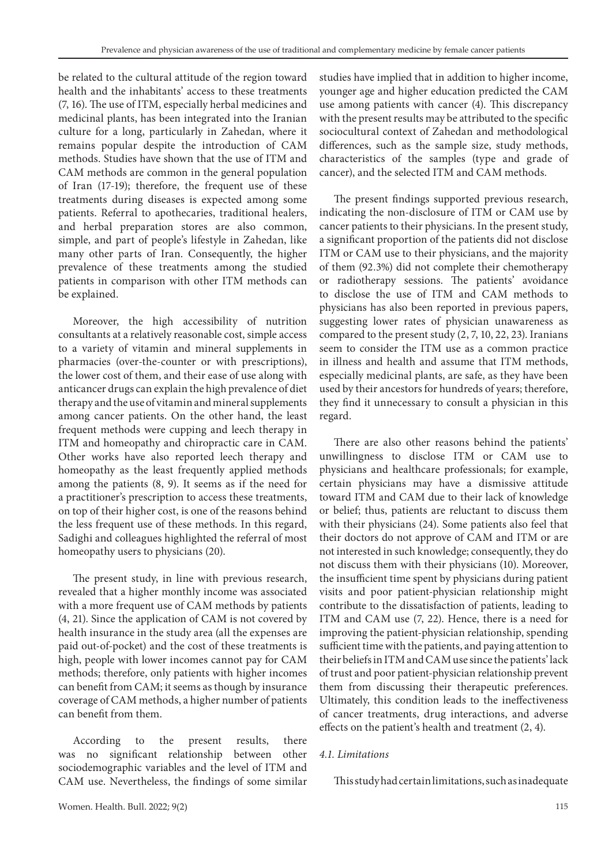be related to the cultural attitude of the region toward health and the inhabitants' access to these treatments (7, 16). The use of ITM, especially herbal medicines and medicinal plants, has been integrated into the Iranian culture for a long, particularly in Zahedan, where it remains popular despite the introduction of CAM methods. Studies have shown that the use of ITM and CAM methods are common in the general population of Iran (17-19); therefore, the frequent use of these treatments during diseases is expected among some patients. Referral to apothecaries, traditional healers, and herbal preparation stores are also common, simple, and part of people's lifestyle in Zahedan, like many other parts of Iran. Consequently, the higher prevalence of these treatments among the studied patients in comparison with other ITM methods can be explained.

Moreover, the high accessibility of nutrition consultants at a relatively reasonable cost, simple access to a variety of vitamin and mineral supplements in pharmacies (over-the-counter or with prescriptions), the lower cost of them, and their ease of use along with anticancer drugs can explain the high prevalence of diet therapy and the use of vitamin and mineral supplements among cancer patients. On the other hand, the least frequent methods were cupping and leech therapy in ITM and homeopathy and chiropractic care in CAM. Other works have also reported leech therapy and homeopathy as the least frequently applied methods among the patients (8, 9). It seems as if the need for a practitioner's prescription to access these treatments, on top of their higher cost, is one of the reasons behind the less frequent use of these methods. In this regard, Sadighi and colleagues highlighted the referral of most homeopathy users to physicians (20).

The present study, in line with previous research, revealed that a higher monthly income was associated with a more frequent use of CAM methods by patients (4, 21). Since the application of CAM is not covered by health insurance in the study area (all the expenses are paid out-of-pocket) and the cost of these treatments is high, people with lower incomes cannot pay for CAM methods; therefore, only patients with higher incomes can benefit from CAM; it seems as though by insurance coverage of CAM methods, a higher number of patients can benefit from them.

According to the present results, there was no significant relationship between other sociodemographic variables and the level of ITM and CAM use. Nevertheless, the findings of some similar

studies have implied that in addition to higher income, younger age and higher education predicted the CAM use among patients with cancer (4). This discrepancy with the present results may be attributed to the specific sociocultural context of Zahedan and methodological differences, such as the sample size, study methods, characteristics of the samples (type and grade of cancer), and the selected ITM and CAM methods.

The present findings supported previous research, indicating the non-disclosure of ITM or CAM use by cancer patients to their physicians. In the present study, a significant proportion of the patients did not disclose ITM or CAM use to their physicians, and the majority of them (92.3%) did not complete their chemotherapy or radiotherapy sessions. The patients' avoidance to disclose the use of ITM and CAM methods to physicians has also been reported in previous papers, suggesting lower rates of physician unawareness as compared to the present study (2, 7, 10, 22, 23). Iranians seem to consider the ITM use as a common practice in illness and health and assume that ITM methods, especially medicinal plants, are safe, as they have been used by their ancestors for hundreds of years; therefore, they find it unnecessary to consult a physician in this regard.

There are also other reasons behind the patients' unwillingness to disclose ITM or CAM use to physicians and healthcare professionals; for example, certain physicians may have a dismissive attitude toward ITM and CAM due to their lack of knowledge or belief; thus, patients are reluctant to discuss them with their physicians (24). Some patients also feel that their doctors do not approve of CAM and ITM or are not interested in such knowledge; consequently, they do not discuss them with their physicians (10). Moreover, the insufficient time spent by physicians during patient visits and poor patient-physician relationship might contribute to the dissatisfaction of patients, leading to ITM and CAM use (7, 22). Hence, there is a need for improving the patient-physician relationship, spending sufficient time with the patients, and paying attention to their beliefs in ITM and CAM use since the patients' lack of trust and poor patient-physician relationship prevent them from discussing their therapeutic preferences. Ultimately, this condition leads to the ineffectiveness of cancer treatments, drug interactions, and adverse effects on the patient's health and treatment (2, 4).

## *4.1. Limitations*

This study had certain limitations, such as inadequate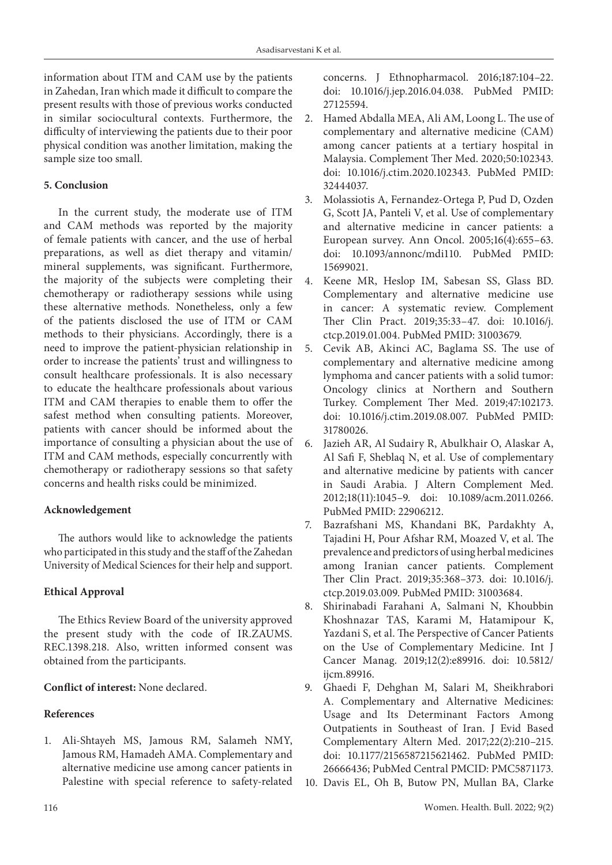information about ITM and CAM use by the patients in Zahedan, Iran which made it difficult to compare the present results with those of previous works conducted in similar sociocultural contexts. Furthermore, the difficulty of interviewing the patients due to their poor physical condition was another limitation, making the sample size too small.

# **5. Conclusion**

In the current study, the moderate use of ITM and CAM methods was reported by the majority of female patients with cancer, and the use of herbal preparations, as well as diet therapy and vitamin/ mineral supplements, was significant. Furthermore, the majority of the subjects were completing their chemotherapy or radiotherapy sessions while using these alternative methods. Nonetheless, only a few of the patients disclosed the use of ITM or CAM methods to their physicians. Accordingly, there is a need to improve the patient-physician relationship in order to increase the patients' trust and willingness to consult healthcare professionals. It is also necessary to educate the healthcare professionals about various ITM and CAM therapies to enable them to offer the safest method when consulting patients. Moreover, patients with cancer should be informed about the importance of consulting a physician about the use of ITM and CAM methods, especially concurrently with chemotherapy or radiotherapy sessions so that safety concerns and health risks could be minimized.

## **Acknowledgement**

The authors would like to acknowledge the patients who participated in this study and the staff of the Zahedan University of Medical Sciences for their help and support.

# **Ethical Approval**

The Ethics Review Board of the university approved the present study with the code of IR.ZAUMS. REC.1398.218. Also, written informed consent was obtained from the participants.

# **Conflict of interest:** None declared.

## **References**

1. Ali-Shtayeh MS, Jamous RM, Salameh NMY, Jamous RM, Hamadeh AMA. Complementary and alternative medicine use among cancer patients in Palestine with special reference to safety-related concerns. J Ethnopharmacol. 2016;187:104–22. doi: 10.1016/j.jep.2016.04.038. PubMed PMID: 27125594.

- 2. Hamed Abdalla MEA, Ali AM, Loong L. The use of complementary and alternative medicine (CAM) among cancer patients at a tertiary hospital in Malaysia. Complement Ther Med. 2020;50:102343. doi: 10.1016/j.ctim.2020.102343. PubMed PMID: 32444037.
- 3. Molassiotis A, Fernandez-Ortega P, Pud D, Ozden G, Scott JA, Panteli V, et al. Use of complementary and alternative medicine in cancer patients: a European survey. Ann Oncol. 2005;16(4):655–63. doi: 10.1093/annonc/mdi110. PubMed PMID: 15699021.
- 4. Keene MR, Heslop IM, Sabesan SS, Glass BD. Complementary and alternative medicine use in cancer: A systematic review. Complement Ther Clin Pract. 2019;35:33–47. doi: 10.1016/j. ctcp.2019.01.004. PubMed PMID: 31003679.
- 5. Cevik AB, Akinci AC, Baglama SS. The use of complementary and alternative medicine among lymphoma and cancer patients with a solid tumor: Oncology clinics at Northern and Southern Turkey. Complement Ther Med. 2019;47:102173. doi: 10.1016/j.ctim.2019.08.007. PubMed PMID: 31780026.
- 6. Jazieh AR, Al Sudairy R, Abulkhair O, Alaskar A, Al Safi F, Sheblaq N, et al. Use of complementary and alternative medicine by patients with cancer in Saudi Arabia. J Altern Complement Med. 2012;18(11):1045–9. doi: 10.1089/acm.2011.0266. PubMed PMID: 22906212.
- 7. Bazrafshani MS, Khandani BK, Pardakhty A, Tajadini H, Pour Afshar RM, Moazed V, et al. The prevalence and predictors of using herbal medicines among Iranian cancer patients. Complement Ther Clin Pract. 2019;35:368–373. doi: 10.1016/j. ctcp.2019.03.009. PubMed PMID: 31003684.
- 8. Shirinabadi Farahani A, Salmani N, Khoubbin Khoshnazar TAS, Karami M, Hatamipour K, Yazdani S, et al. The Perspective of Cancer Patients on the Use of Complementary Medicine. Int J Cancer Manag. 2019;12(2):e89916. doi: 10.5812/ ijcm.89916.
- 9. Ghaedi F, Dehghan M, Salari M, Sheikhrabori A. Complementary and Alternative Medicines: Usage and Its Determinant Factors Among Outpatients in Southeast of Iran. J Evid Based Complementary Altern Med. 2017;22(2):210–215. doi: 10.1177/2156587215621462. PubMed PMID: 26666436; PubMed Central PMCID: PMC5871173.
- 10. Davis EL, Oh B, Butow PN, Mullan BA, Clarke